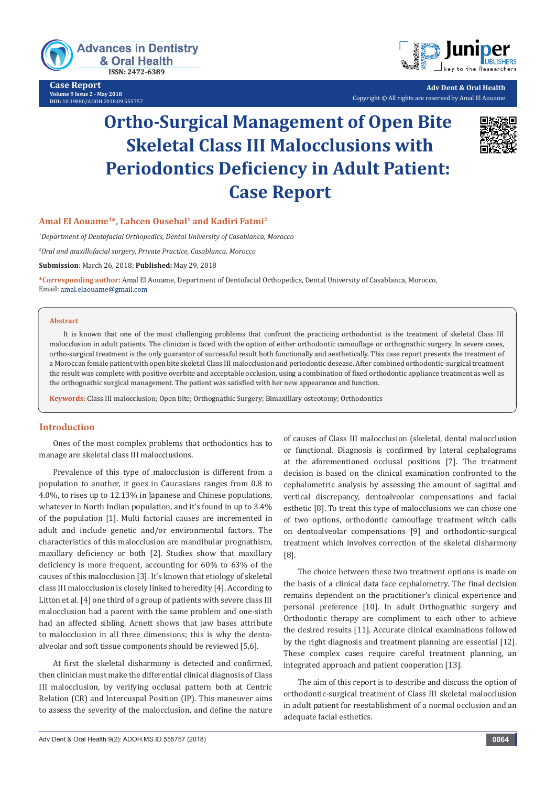

**Case Report Volume 9 Issue 2 - May 2018 DOI:** [10.19080/ADOH.2018.09.555757](http://dx.doi.org/10.19080/ADOH.2018.09.555757)



**Adv Dent & Oral Health** Copyright © All rights are reserved by Amal El Aouame

# **Ortho-Surgical Management of Open Bite Skeletal Class III Malocclusions with Periodontics Deficiency in Adult Patient: Case Report**



## **Amal El Aouame1\*, Lahcen Ousehal1 and Kadiri Fatmi2**

*1 Department of Dentofacial Orthopedics, Dental University of Casablanca, Morocco* 

*2 Oral and maxillofacial surgery, Private Practice, Casablanca, Morocco*

**Submission**: March 26, 2018; **Published:** May 29, 2018

**\*Corresponding author:** Amal El Aouame, Department of Dentofacial Orthopedics, Dental University of Casablanca, Morocco, Email: amal.elaouame@gmail.com

#### **Abstract**

It is known that one of the most challenging problems that confront the practicing orthodontist is the treatment of skeletal Class III malocclusion in adult patients. The clinician is faced with the option of either orthodontic camouflage or orthognathic surgery. In severe cases, ortho-surgical treatment is the only guarantor of successful result both functionally and aesthetically. This case report presents the treatment of a Moroccan female patient with open bite skeletal Class III malocclusion and periodontic desease. After combined orthodontic-surgical treatment the result was complete with positive overbite and acceptable occlusion, using a combination of fixed orthodontic appliance treatment as well as the orthognathic surgical management. The patient was satisfied with her new appearance and function.

**Keywords:** Class III malocclusion; Open bite; Orthognathic Surgery; Bimaxillary osteotomy; Orthodontics

#### **Introduction**

Ones of the most complex problems that orthodontics has to manage are skeletal class III malocclusions.

Prevalence of this type of malocclusion is different from a population to another, it goes in Caucasians ranges from 0.8 to 4.0%, to rises up to 12.13% in Japanese and Chinese populations, whatever in North Indian population, and it's found in up to 3.4% of the population [1]. Multi factorial causes are incremented in adult and include genetic and/or environmental factors. The characteristics of this malocclusion are mandibular prognathism, maxillary deficiency or both [2]. Studies show that maxillary deficiency is more frequent, accounting for 60% to 63% of the causes of this malocclusion [3]. It's known that etiology of skeletal class III malocclusion is closely linked to heredity [4]. According to Litton et al. [4] one third of a group of patients with severe class III malocclusion had a parent with the same problem and one-sixth had an affected sibling. Arnett shows that jaw bases attribute to malocclusion in all three dimensions; this is why the dentoalveolar and soft tissue components should be reviewed [5,6].

At first the skeletal disharmony is detected and confirmed, then clinician must make the differential clinical diagnosis of Class III malocclusion, by verifying occlusal pattern both at Centric Relation (CR) and Intercuspal Position (IP). This maneuver aims to assess the severity of the malocclusion, and define the nature of causes of Class III malocclusion (skeletal, dental malocclusion or functional. Diagnosis is confirmed by lateral cephalograms at the aforementioned occlusal positions [7]. The treatment decision is based on the clinical examination confronted to the cephalometric analysis by assessing the amount of sagittal and vertical discrepancy, dentoalveolar compensations and facial esthetic [8]. To treat this type of malocclusions we can chose one of two options, orthodontic camouflage treatment witch calls on dentoalveolar compensations [9] and orthodontic-surgical treatment which involves correction of the skeletal disharmony [8].

The choice between these two treatment options is made on the basis of a clinical data face cephalometry. The final decision remains dependent on the practitioner's clinical experience and personal preference [10]. In adult Orthognathic surgery and Orthodontic therapy are compliment to each other to achieve the desired results [11]. Accurate clinical examinations followed by the right diagnosis and treatment planning are essential [12]. These complex cases require careful treatment planning, an integrated approach and patient cooperation [13].

The aim of this report is to describe and discuss the option of orthodontic-surgical treatment of Class III skeletal malocclusion in adult patient for reestablishment of a normal occlusion and an adequate facial esthetics.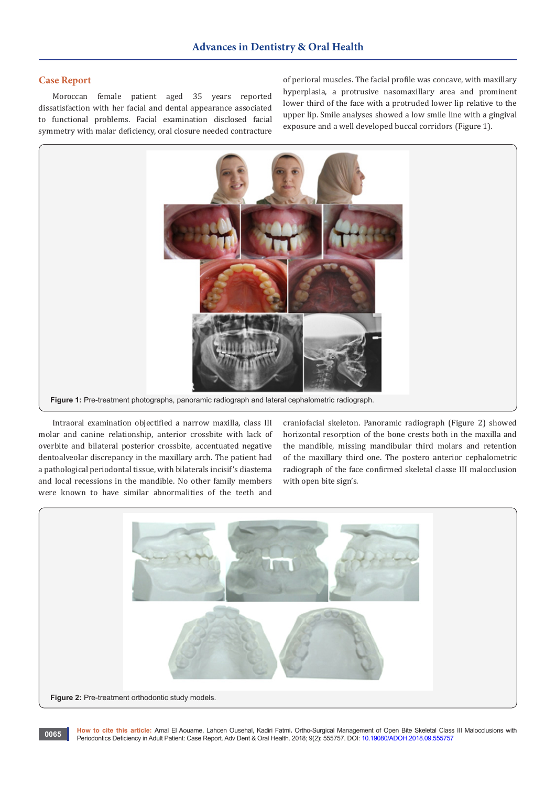## **Case Report**

Moroccan female patient aged 35 years reported dissatisfaction with her facial and dental appearance associated to functional problems. Facial examination disclosed facial symmetry with malar deficiency, oral closure needed contracture of perioral muscles. The facial profile was concave, with maxillary hyperplasia, a protrusive nasomaxillary area and prominent lower third of the face with a protruded lower lip relative to the upper lip. Smile analyses showed a low smile line with a gingival exposure and a well developed buccal corridors (Figure 1).



Intraoral examination objectified a narrow maxilla, class III molar and canine relationship, anterior crossbite with lack of overbite and bilateral posterior crossbite, accentuated negative dentoalveolar discrepancy in the maxillary arch. The patient had a pathological periodontal tissue, with bilaterals incisif's diastema and local recessions in the mandible. No other family members were known to have similar abnormalities of the teeth and

craniofacial skeleton. Panoramic radiograph (Figure 2) showed horizontal resorption of the bone crests both in the maxilla and the mandible, missing mandibular third molars and retention of the maxillary third one. The postero anterior cephalometric radiograph of the face confirmed skeletal classe III malocclusion with open bite sign's.



**How to cite this article:** Amal El Aouame, Lahcen Ousehal, Kadiri Fatmi**.** Ortho-Surgical Management of Open Bite Skeletal Class III Malocclusions with Periodontics Deficiency in Adult Patient: Case Report. Adv Dent & Oral Health. 2018; 9(2): 555757. DOI: [10.19080/ADOH.2018.09.555757](http://dx.doi.org/10.19080/ADOH.2018.09.555757) **<sup>0065</sup>**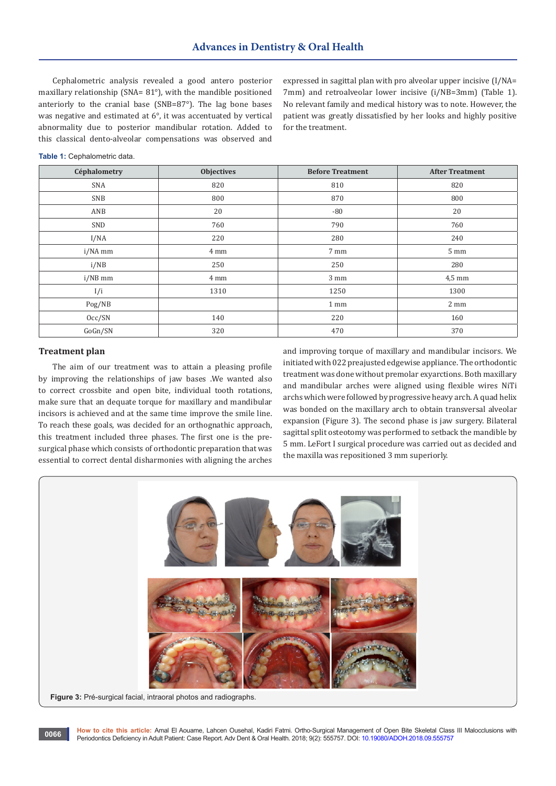Cephalometric analysis revealed a good antero posterior maxillary relationship (SNA= 81°), with the mandible positioned anteriorly to the cranial base (SNB=87°). The lag bone bases was negative and estimated at 6°, it was accentuated by vertical abnormality due to posterior mandibular rotation. Added to this classical dento-alveolar compensations was observed and

expressed in sagittal plan with pro alveolar upper incisive (I/NA= 7mm) and retroalveolar lower incisive (i/NB=3mm) (Table 1). No relevant family and medical history was to note. However, the patient was greatly dissatisfied by her looks and highly positive for the treatment.

|  |  | Table 1: Cephalometric data. |
|--|--|------------------------------|
|--|--|------------------------------|

| Céphalometry | <b>Objectives</b> | <b>Before Treatment</b> | <b>After Treatment</b> |
|--------------|-------------------|-------------------------|------------------------|
| SNA          | 820               | 810                     | 820                    |
| SNB          | 800               | 870                     | 800                    |
| ANB          | 20                | $-80$                   | 20                     |
| SND          | 760               | 790                     | 760                    |
| I/NA         | 220               | 280                     | 240                    |
| i/NA mm      | 4 mm              | 7 mm                    | $5 \text{ mm}$         |
| i/NB         | 250               | 250                     | 280                    |
| i/NB mm      | 4 mm              | $3 \text{ mm}$          | $4,5$ mm               |
| I/i          | 1310              | 1250                    | 1300                   |
| Pog/NB       |                   | 1 mm                    | 2 mm                   |
| Occ/SN       | 140               | 220                     | 160                    |
| GoGn/SN      | 320               | 470                     | 370                    |

### **Treatment plan**

The aim of our treatment was to attain a pleasing profile by improving the relationships of jaw bases .We wanted also to correct crossbite and open bite, individual tooth rotations, make sure that an dequate torque for maxillary and mandibular incisors is achieved and at the same time improve the smile line. To reach these goals, was decided for an orthognathic approach, this treatment included three phases. The first one is the presurgical phase which consists of orthodontic preparation that was essential to correct dental disharmonies with aligning the arches

and improving torque of maxillary and mandibular incisors. We initiated with 022 preajusted edgewise appliance. The orthodontic treatment was done without premolar exyarctions. Both maxillary and mandibular arches were aligned using flexible wires NiTi archs which were followed by progressive heavy arch. A quad helix was bonded on the maxillary arch to obtain transversal alveolar expansion (Figure 3). The second phase is jaw surgery. Bilateral sagittal split osteotomy was performed to setback the mandible by 5 mm. LeFort I surgical procedure was carried out as decided and the maxilla was repositioned 3 mm superiorly.



**How to cite this article:** Amal El Aouame, Lahcen Ousehal, Kadiri Fatmi. Ortho-Surgical Management of Open Bite Skeletal Class III Malocclusions with Periodontics Deficiency in Adult Patient: Case Report. Adv Dent & Oral Health. 2018; 9(2): 555757. DOI: [10.19080/ADOH.2018.09.555757](http://dx.doi.org/10.19080/ADOH.2018.09.555757)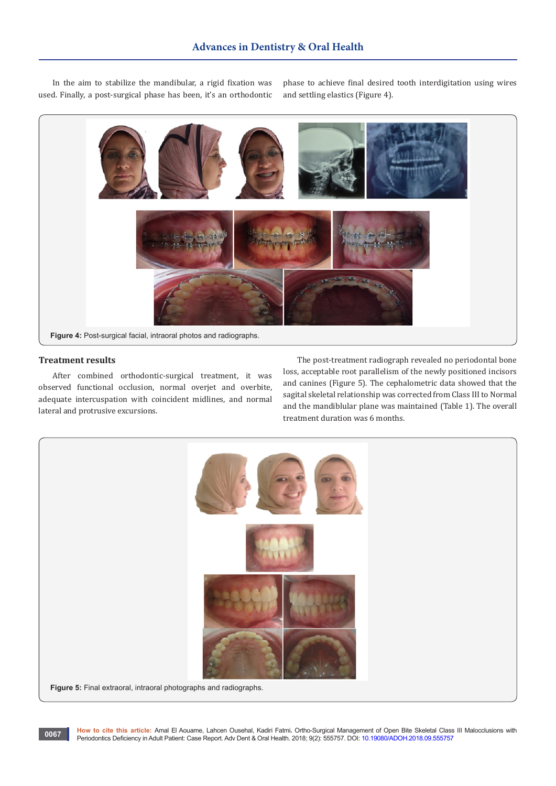In the aim to stabilize the mandibular, a rigid fixation was used. Finally, a post-surgical phase has been, it's an orthodontic

phase to achieve final desired tooth interdigitation using wires and settling elastics (Figure 4).



### **Treatment results**

After combined orthodontic-surgical treatment, it was observed functional occlusion, normal overjet and overbite, adequate intercuspation with coincident midlines, and normal lateral and protrusive excursions.

The post-treatment radiograph revealed no periodontal bone loss, acceptable root parallelism of the newly positioned incisors and canines (Figure 5). The cephalometric data showed that the sagital skeletal relationship was corrected from Class III to Normal and the mandiblular plane was maintained (Table 1). The overall treatment duration was 6 months.

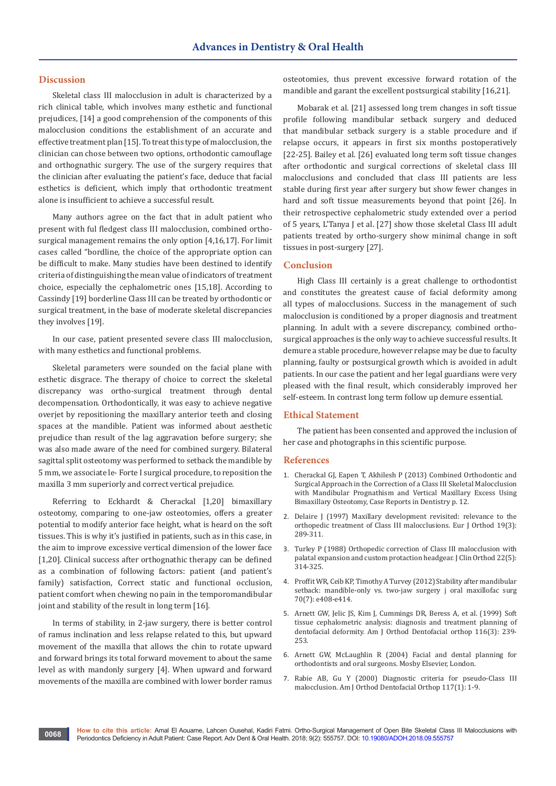## **Discussion**

Skeletal class III malocclusion in adult is characterized by a rich clinical table, which involves many esthetic and functional prejudices, [14] a good comprehension of the components of this malocclusion conditions the establishment of an accurate and effective treatment plan [15]. To treat this type of malocclusion, the clinician can chose between two options, orthodontic camouflage and orthognathic surgery. The use of the surgery requires that the clinician after evaluating the patient's face, deduce that facial esthetics is deficient, which imply that orthodontic treatment alone is insufficient to achieve a successful result.

Many authors agree on the fact that in adult patient who present with ful fledgest class III malocclusion, combined orthosurgical management remains the only option [4,16,17]. For limit cases called "bordline, the choice of the appropriate option can be difficult to make. Many studies have been destined to identify criteria of distinguishing the mean value of indicators of treatment choice, especially the cephalometric ones [15,18]. According to Cassindy [19] borderline Class III can be treated by orthodontic or surgical treatment, in the base of moderate skeletal discrepancies they involves [19].

In our case, patient presented severe class III malocclusion, with many esthetics and functional problems.

Skeletal parameters were sounded on the facial plane with esthetic disgrace. The therapy of choice to correct the skeletal discrepancy was ortho-surgical treatment through dental decompensation. Orthodontically, it was easy to achieve negative overjet by repositioning the maxillary anterior teeth and closing spaces at the mandible. Patient was informed about aesthetic prejudice than result of the lag aggravation before surgery; she was also made aware of the need for combined surgery. Bilateral sagittal split osteotomy was performed to setback the mandible by 5 mm, we associate le- Forte I surgical procedure, to reposition the maxilla 3 mm superiorly and correct vertical prejudice.

Referring to Eckhardt & Cherackal [1,20] bimaxillary osteotomy, comparing to one-jaw osteotomies, offers a greater potential to modify anterior face height, what is heard on the soft tissues. This is why it's justified in patients, such as in this case, in the aim to improve excessive vertical dimension of the lower face [1,20]. Clinical success after orthognathic therapy can be defined as a combination of following factors: patient (and patient's family) satisfaction, Correct static and functional occlusion, patient comfort when chewing no pain in the temporomandibular joint and stability of the result in long term [16].

In terms of stability, in 2-jaw surgery, there is better control of ramus inclination and less relapse related to this, but upward movement of the maxilla that allows the chin to rotate upward and forward brings its total forward movement to about the same level as with mandonly surgery [4]. When upward and forward movements of the maxilla are combined with lower border ramus

**0068**

osteotomies, thus prevent excessive forward rotation of the mandible and garant the excellent postsurgical stability [16,21].

Mobarak et al. [21] assessed long trem changes in soft tissue profile following mandibular setback surgery and deduced that mandibular setback surgery is a stable procedure and if relapse occurs, it appears in first six months postoperatively [22-25]. Bailey et al. [26] evaluated long term soft tissue changes after orthodontic and surgical corrections of skeletal class III malocclusions and concluded that class III patients are less stable during first year after surgery but show fewer changes in hard and soft tissue measurements beyond that point [26]. In their retrospective cephalometric study extended over a period of 5 years, L'Tanya J et al. [27] show those skeletal Class III adult patients treated by ortho-surgery show minimal change in soft tissues in post-surgery [27].

#### **Conclusion**

High Class III certainly is a great challenge to orthodontist and constitutes the greatest cause of facial deformity among all types of malocclusions. Success in the management of such malocclusion is conditioned by a proper diagnosis and treatment planning. In adult with a severe discrepancy, combined orthosurgical approaches is the only way to achieve successful results. It demure a stable procedure, however relapse may be due to faculty planning, faulty or postsurgical growth which is avoided in adult patients. In our case the patient and her legal guardians were very pleased with the final result, which considerably improved her self-esteem. In contrast long term follow up demure essential.

#### **Ethical Statement**

The patient has been consented and approved the inclusion of her case and photographs in this scientific purpose.

#### **References**

- 1. [Cherackal GJ, Eapen T, Akhilesh P \(2013\) Combined Orthodontic and](https://www.hindawi.com/journals/crid/2013/797846/)  [Surgical Approach in the Correction of a Class III Skeletal Malocclusion](https://www.hindawi.com/journals/crid/2013/797846/)  [with Mandibular Prognathism and Vertical Maxillary Excess Using](https://www.hindawi.com/journals/crid/2013/797846/)  [Bimaxillary Osteotomy, Case Reports in Dentistry p. 12.](https://www.hindawi.com/journals/crid/2013/797846/)
- 2. Delaire J (1997) Maxillary development revisited: relevance to the [orthopedic treatment of Class III malocclusions. Eur J Orthod 19\(3\):](https://www.ncbi.nlm.nih.gov/pubmed/9239959)  [289-311.](https://www.ncbi.nlm.nih.gov/pubmed/9239959)
- 3. [Turley P \(1988\) Orthopedic correction of Class III malocclusion with](https://www.ncbi.nlm.nih.gov/pubmed/3075214)  [palatal expansion and custom protaction headgear. J Clin Orthod 22\(5\):](https://www.ncbi.nlm.nih.gov/pubmed/3075214)  [314-325.](https://www.ncbi.nlm.nih.gov/pubmed/3075214)
- 4. Proffit WR, Ceib KP, Timothy A Turvey (2012) Stability after mandibular [setback: mandible-only vs. two-jaw surgery j oral maxillofac surg](https://www.ncbi.nlm.nih.gov/pubmed/22365722)  [70\(7\): e408-e414.](https://www.ncbi.nlm.nih.gov/pubmed/22365722)
- 5. [Arnett GW, Jelic JS, Kim J, Cummings DR, Beress A, et al. \(1999\) Soft](https://www.ncbi.nlm.nih.gov/pubmed/10474095)  [tissue cephalometric analysis: diagnosis and treatment planning of](https://www.ncbi.nlm.nih.gov/pubmed/10474095)  [dentofacial deformity. Am J Orthod Dentofacial orthop 116\(3\): 239-](https://www.ncbi.nlm.nih.gov/pubmed/10474095) [253.](https://www.ncbi.nlm.nih.gov/pubmed/10474095)
- 6. [Arnett GW, McLaughlin R \(2004\) Facial and dental planning for](http://www.cirugiafacial.cl/uploads/files/CO06.2004.pdf)  [orthodontists and oral surgeons. Mosby Elsevier, London.](http://www.cirugiafacial.cl/uploads/files/CO06.2004.pdf)
- 7. [Rabie AB, Gu Y \(2000\) Diagnostic criteria for pseudo-Class III](https://www.ncbi.nlm.nih.gov/pubmed/10629513)  [malocclusion. Am J Orthod Dentofacial Orthop 117\(1\): 1-9.](https://www.ncbi.nlm.nih.gov/pubmed/10629513)